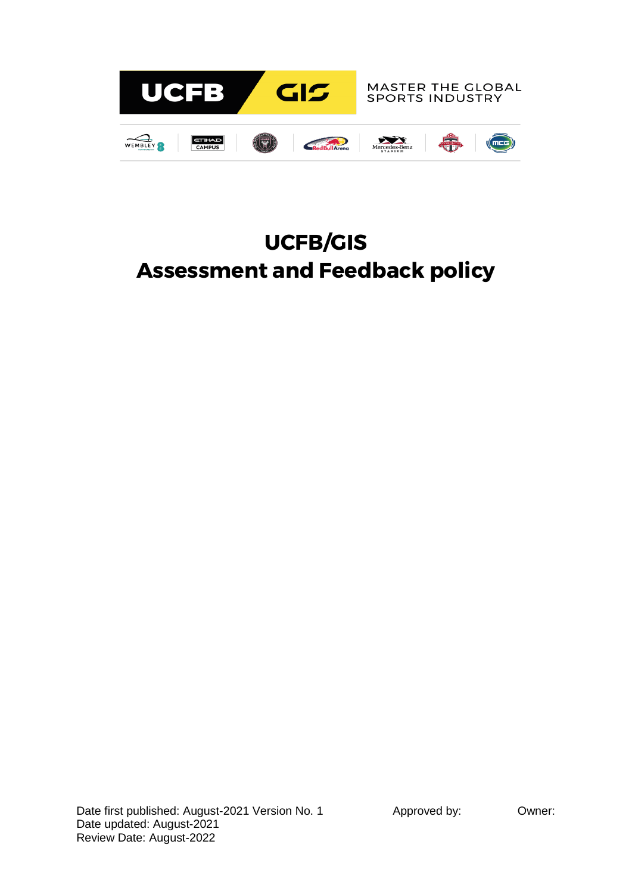

# **UCFB/GIS Assessment and Feedback policy**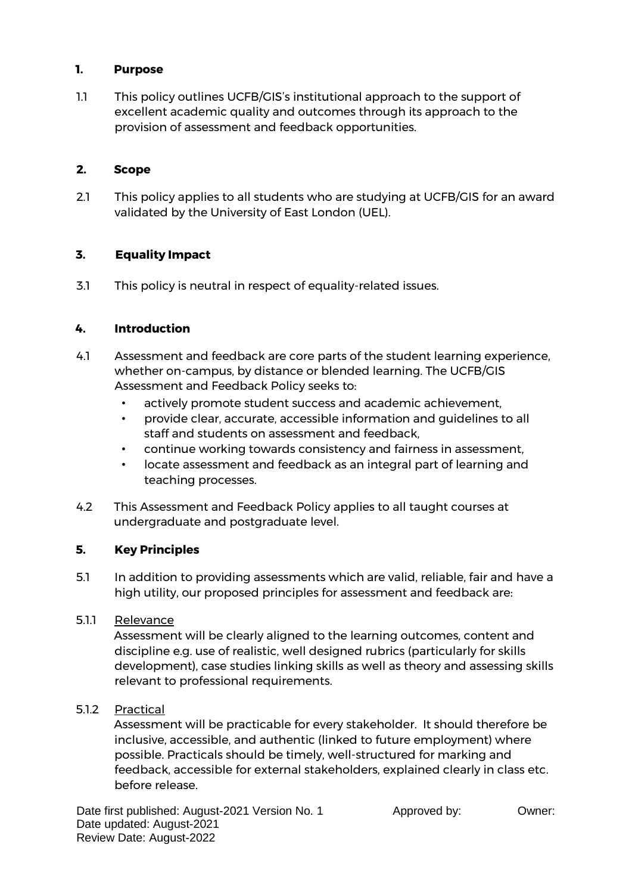## **1. Purpose**

1.1 This policy outlines UCFB/GIS's institutional approach to the support of excellent academic quality and outcomes through its approach to the provision of assessment and feedback opportunities.

## **2. Scope**

2.1 This policy applies to all students who are studying at UCFB/GIS for an award validated by the University of East London (UEL).

## **3. Equality Impact**

3.1 This policy is neutral in respect of equality-related issues.

## **4. Introduction**

- 4.1 Assessment and feedback are core parts of the student learning experience, whether on-campus, by distance or blended learning. The UCFB/GIS Assessment and Feedback Policy seeks to:
	- actively promote student success and academic achievement,
	- provide clear, accurate, accessible information and guidelines to all staff and students on assessment and feedback,
	- continue working towards consistency and fairness in assessment,
	- locate assessment and feedback as an integral part of learning and teaching processes.
- 4.2 This Assessment and Feedback Policy applies to all taught courses at undergraduate and postgraduate level.

# **5. Key Principles**

5.1 In addition to providing assessments which are valid, reliable, fair and have a high utility, our proposed principles for assessment and feedback are:

## 5.1.1 Relevance

Assessment will be clearly aligned to the learning outcomes, content and discipline e.g. use of realistic, well designed rubrics (particularly for skills development), case studies linking skills as well as theory and assessing skills relevant to professional requirements.

5.1.2 Practical

Assessment will be practicable for every stakeholder. It should therefore be inclusive, accessible, and authentic (linked to future employment) where possible. Practicals should be timely, well-structured for marking and feedback, accessible for external stakeholders, explained clearly in class etc. before release.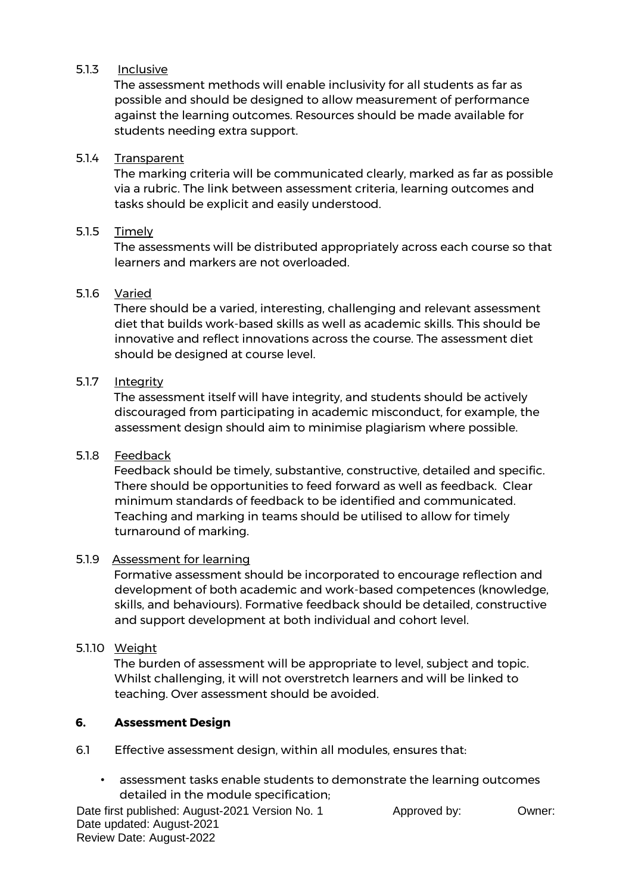## 5.1.3 Inclusive

The assessment methods will enable inclusivity for all students as far as possible and should be designed to allow measurement of performance against the learning outcomes. Resources should be made available for students needing extra support.

## 5.1.4 Transparent

The marking criteria will be communicated clearly, marked as far as possible via a rubric. The link between assessment criteria, learning outcomes and tasks should be explicit and easily understood.

## 5.1.5 Timely

The assessments will be distributed appropriately across each course so that learners and markers are not overloaded.

## 5.1.6 Varied

There should be a varied, interesting, challenging and relevant assessment diet that builds work-based skills as well as academic skills. This should be innovative and reflect innovations across the course. The assessment diet should be designed at course level.

## 5.1.7 Intearity

The assessment itself will have integrity, and students should be actively discouraged from participating in academic misconduct, for example, the assessment design should aim to minimise plagiarism where possible.

## 5.1.8 Feedback

Feedback should be timely, substantive, constructive, detailed and specific. There should be opportunities to feed forward as well as feedback. Clear minimum standards of feedback to be identified and communicated. Teaching and marking in teams should be utilised to allow for timely turnaround of marking.

#### 5.1.9Assessment for learning

Formative assessment should be incorporated to encourage reflection and development of both academic and work-based competences (knowledge, skills, and behaviours). Formative feedback should be detailed, constructive and support development at both individual and cohort level.

#### 5.1.10 Weight

The burden of assessment will be appropriate to level, subject and topic. Whilst challenging, it will not overstretch learners and will be linked to teaching. Over assessment should be avoided.

#### **6. Assessment Design**

- 6.1 Effective assessment design, within all modules, ensures that:
	- assessment tasks enable students to demonstrate the learning outcomes detailed in the module specification;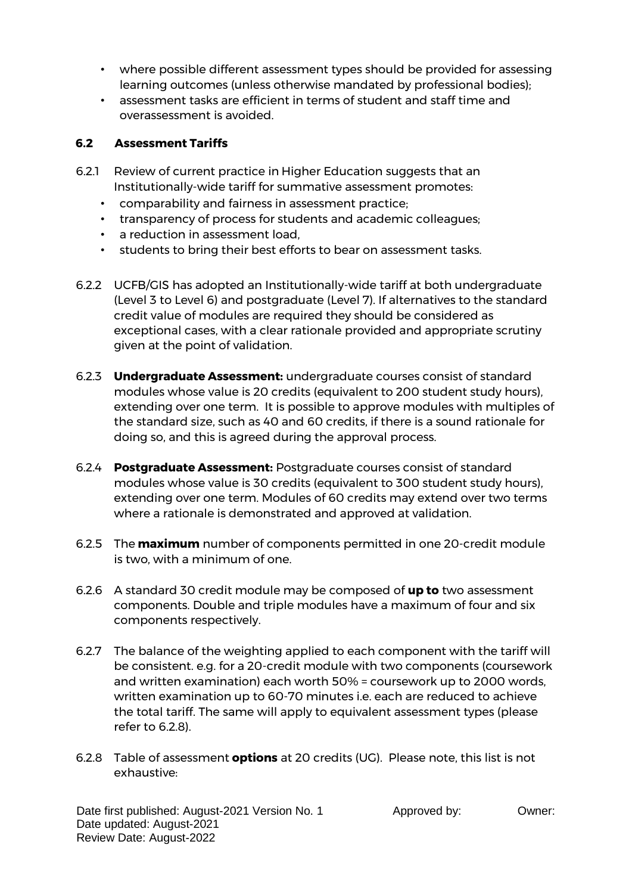- where possible different assessment types should be provided for assessing learning outcomes (unless otherwise mandated by professional bodies);
- assessment tasks are efficient in terms of student and staff time and overassessment is avoided.

## **6.2 Assessment Tariffs**

- 6.2.1 Review of current practice in Higher Education suggests that an Institutionally-wide tariff for summative assessment promotes:
	- comparability and fairness in assessment practice;
	- transparency of process for students and academic colleagues;
	- a reduction in assessment load,
	- students to bring their best efforts to bear on assessment tasks.
- 6.2.2 UCFB/GIS has adopted an Institutionally-wide tariff at both undergraduate (Level 3 to Level 6) and postgraduate (Level 7). If alternatives to the standard credit value of modules are required they should be considered as exceptional cases, with a clear rationale provided and appropriate scrutiny given at the point of validation.
- 6.2.3 **Undergraduate Assessment:** undergraduate courses consist of standard modules whose value is 20 credits (equivalent to 200 student study hours), extending over one term. It is possible to approve modules with multiples of the standard size, such as 40 and 60 credits, if there is a sound rationale for doing so, and this is agreed during the approval process.
- 6.2.4 **Postgraduate Assessment:** Postgraduate courses consist of standard modules whose value is 30 credits (equivalent to 300 student study hours), extending over one term. Modules of 60 credits may extend over two terms where a rationale is demonstrated and approved at validation.
- 6.2.5 The **maximum** number of components permitted in one 20-credit module is two, with a minimum of one.
- 6.2.6 A standard 30 credit module may be composed of **up to** two assessment components. Double and triple modules have a maximum of four and six components respectively.
- 6.2.7 The balance of the weighting applied to each component with the tariff will be consistent. e.g. for a 20-credit module with two components (coursework and written examination) each worth 50% = coursework up to 2000 words, written examination up to 60-70 minutes i.e. each are reduced to achieve the total tariff. The same will apply to equivalent assessment types (please refer to 6.2.8).
- 6.2.8 Table of assessment **options** at 20 credits (UG). Please note, this list is not exhaustive: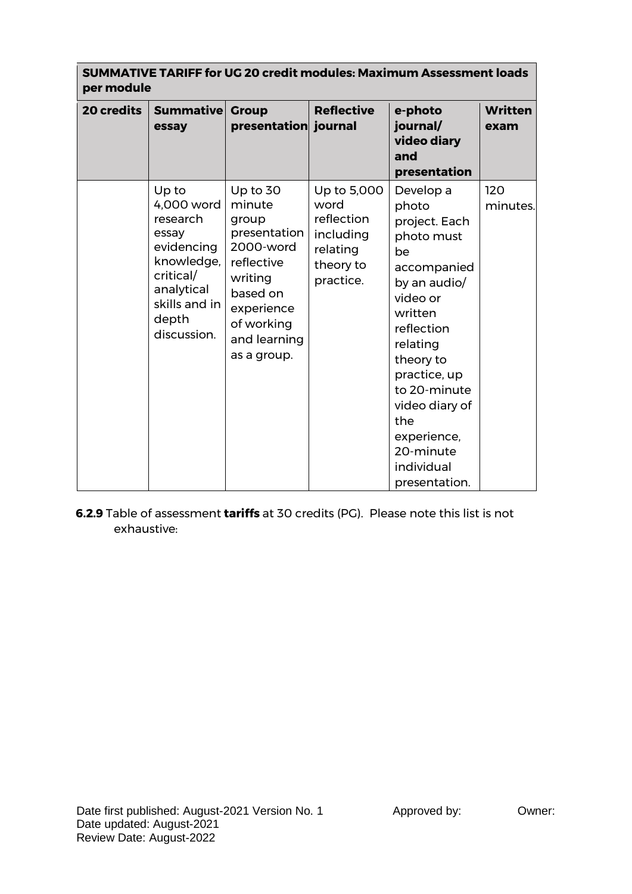| <b>SUMMATIVE TARIFF for UG 20 credit modules: Maximum Assessment loads</b><br>per module |                                                                                                                                          |                                                                                                                                                          |                                                                                      |                                                                                                                                                                                                                                                                          |                        |  |  |  |
|------------------------------------------------------------------------------------------|------------------------------------------------------------------------------------------------------------------------------------------|----------------------------------------------------------------------------------------------------------------------------------------------------------|--------------------------------------------------------------------------------------|--------------------------------------------------------------------------------------------------------------------------------------------------------------------------------------------------------------------------------------------------------------------------|------------------------|--|--|--|
| 20 credits                                                                               | <b>Summative</b><br>essay                                                                                                                | <b>Group</b><br>presentation journal                                                                                                                     | <b>Reflective</b>                                                                    | e-photo<br>journal/<br>video diary<br>and<br>presentation                                                                                                                                                                                                                | <b>Written</b><br>exam |  |  |  |
|                                                                                          | Up to<br>4,000 word<br>research<br>essay<br>evidencing<br>knowledge,<br>critical/<br>analytical<br>skills and in<br>depth<br>discussion. | Up to 30<br>minute<br>group<br>presentation<br>2000-word<br>reflective<br>writing<br>based on<br>experience<br>of working<br>and learning<br>as a group. | Up to 5,000<br>word<br>reflection<br>including<br>relating<br>theory to<br>practice. | Develop a<br>photo<br>project. Each<br>photo must<br>be<br>accompanied<br>by an audio/<br>video or<br>written<br>reflection<br>relating<br>theory to<br>practice, up<br>to 20-minute<br>video diary of<br>the<br>experience,<br>20-minute<br>individual<br>presentation. | 120<br>minutes.        |  |  |  |

**6.2.9** Table of assessment **tariffs** at 30 credits (PG). Please note this list is not exhaustive: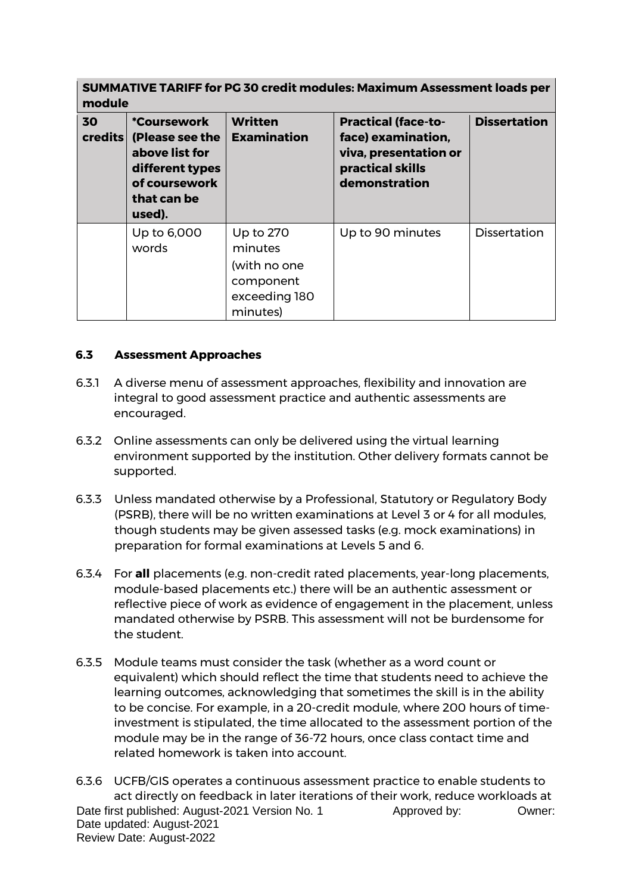| <b>SUMMATIVE TARIFF for PG 30 credit modules: Maximum Assessment loads per</b><br>module |                                                                                                                      |                                                                                |                                                                                                                |                     |  |  |  |  |
|------------------------------------------------------------------------------------------|----------------------------------------------------------------------------------------------------------------------|--------------------------------------------------------------------------------|----------------------------------------------------------------------------------------------------------------|---------------------|--|--|--|--|
| 30<br>credits                                                                            | <i>*Coursework</i><br>(Please see the<br>above list for<br>different types<br>of coursework<br>that can be<br>used). | Written<br><b>Examination</b>                                                  | <b>Practical (face-to-</b><br>face) examination,<br>viva, presentation or<br>practical skills<br>demonstration | <b>Dissertation</b> |  |  |  |  |
|                                                                                          | Up to 6,000<br>words                                                                                                 | Up to 270<br>minutes<br>(with no one<br>component<br>exceeding 180<br>minutes) | Up to 90 minutes                                                                                               | <b>Dissertation</b> |  |  |  |  |

## **6.3 Assessment Approaches**

- 6.3.1 A diverse menu of assessment approaches, flexibility and innovation are integral to good assessment practice and authentic assessments are encouraged.
- 6.3.2 Online assessments can only be delivered using the virtual learning environment supported by the institution. Other delivery formats cannot be supported.
- 6.3.3 Unless mandated otherwise by a Professional, Statutory or Regulatory Body (PSRB), there will be no written examinations at Level 3 or 4 for all modules, though students may be given assessed tasks (e.g. mock examinations) in preparation for formal examinations at Levels 5 and 6.
- 6.3.4 For **all** placements (e.g. non-credit rated placements, year-long placements, module-based placements etc.) there will be an authentic assessment or reflective piece of work as evidence of engagement in the placement, unless mandated otherwise by PSRB. This assessment will not be burdensome for the student.
- 6.3.5 Module teams must consider the task (whether as a word count or equivalent) which should reflect the time that students need to achieve the learning outcomes, acknowledging that sometimes the skill is in the ability to be concise. For example, in a 20-credit module, where 200 hours of timeinvestment is stipulated, the time allocated to the assessment portion of the module may be in the range of 36-72 hours, once class contact time and related homework is taken into account.

Date first published: August-2021 Version No. 1 Approved by: 0wner: Date updated: August-2021 Review Date: August-2022 6.3.6 UCFB/GIS operates a continuous assessment practice to enable students to act directly on feedback in later iterations of their work, reduce workloads at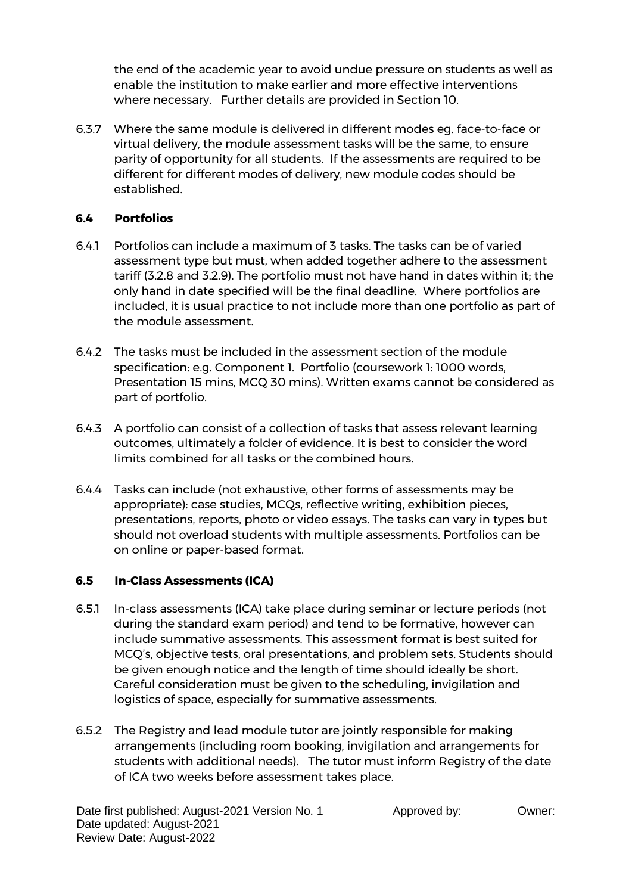the end of the academic year to avoid undue pressure on students as well as enable the institution to make earlier and more effective interventions where necessary. Further details are provided in Section 10.

6.3.7 Where the same module is delivered in different modes eg. face-to-face or virtual delivery, the module assessment tasks will be the same, to ensure parity of opportunity for all students. If the assessments are required to be different for different modes of delivery, new module codes should be established.

## **6.4 Portfolios**

- 6.4.1 Portfolios can include a maximum of 3 tasks. The tasks can be of varied assessment type but must, when added together adhere to the assessment tariff (3.2.8 and 3.2.9). The portfolio must not have hand in dates within it; the only hand in date specified will be the final deadline. Where portfolios are included, it is usual practice to not include more than one portfolio as part of the module assessment.
- 6.4.2 The tasks must be included in the assessment section of the module specification: e.g. Component 1. Portfolio (coursework 1: 1000 words, Presentation 15 mins, MCQ 30 mins). Written exams cannot be considered as part of portfolio.
- 6.4.3 A portfolio can consist of a collection of tasks that assess relevant learning outcomes, ultimately a folder of evidence. It is best to consider the word limits combined for all tasks or the combined hours.
- 6.4.4 Tasks can include (not exhaustive, other forms of assessments may be appropriate): case studies, MCQs, reflective writing, exhibition pieces, presentations, reports, photo or video essays. The tasks can vary in types but should not overload students with multiple assessments. Portfolios can be on online or paper-based format.

## **6.5 In-Class Assessments (ICA)**

- 6.5.1 In-class assessments (ICA) take place during seminar or lecture periods (not during the standard exam period) and tend to be formative, however can include summative assessments. This assessment format is best suited for MCQ's, objective tests, oral presentations, and problem sets. Students should be given enough notice and the length of time should ideally be short. Careful consideration must be given to the scheduling, invigilation and logistics of space, especially for summative assessments.
- 6.5.2 The Registry and lead module tutor are jointly responsible for making arrangements (including room booking, invigilation and arrangements for students with additional needs). The tutor must inform Registry of the date of ICA two weeks before assessment takes place.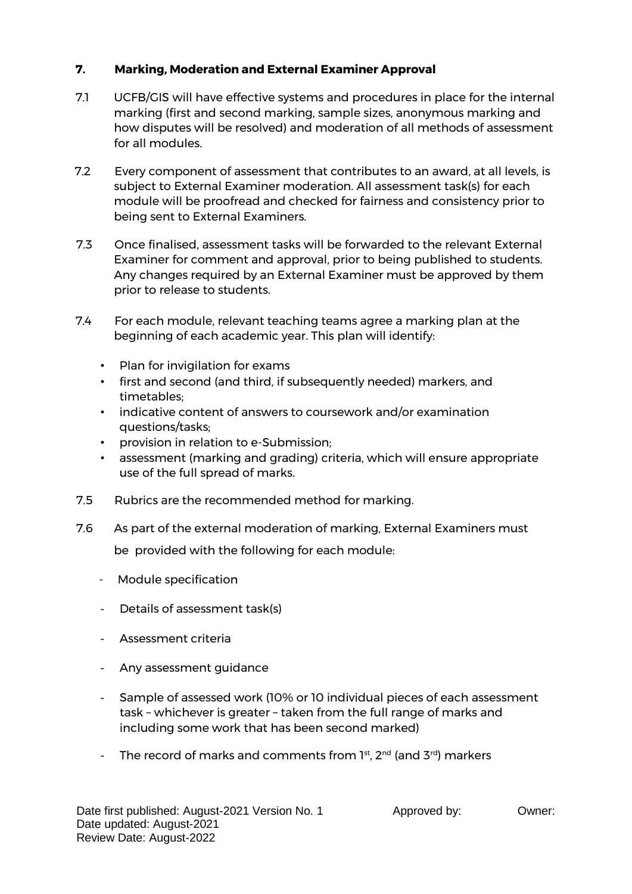# **7. Marking, Moderation and External Examiner Approval**

- 7.1 UCFB/GIS will have effective systems and procedures in place for the internal marking (first and second marking, sample sizes, anonymous marking and how disputes will be resolved) and moderation of all methods of assessment for all modules.
- 7.2 Every component of assessment that contributes to an award, at all levels, is subject to External Examiner moderation. All assessment task(s) for each module will be proofread and checked for fairness and consistency prior to being sent to External Examiners.
- 7.3 Once finalised, assessment tasks will be forwarded to the relevant External Examiner for comment and approval, prior to being published to students. Any changes required by an External Examiner must be approved by them prior to release to students.
- 7.4 For each module, relevant teaching teams agree a marking plan at the beginning of each academic year. This plan will identify:
	- Plan for invigilation for exams
	- first and second (and third, if subsequently needed) markers, and timetables;
	- indicative content of answers to coursework and/or examination questions/tasks;
	- provision in relation to e-Submission;
	- assessment (marking and grading) criteria, which will ensure appropriate use of the full spread of marks.
- 7.5 Rubrics are the recommended method for marking.
- 7.6 As part of the external moderation of marking, External Examiners must be provided with the following for each module:
	- Module specification
	- Details of assessment task(s)
	- Assessment criteria
	- Any assessment guidance
	- Sample of assessed work (10% or 10 individual pieces of each assessment task – whichever is greater – taken from the full range of marks and including some work that has been second marked)
	- The record of marks and comments from  $1^{st}$ ,  $2^{nd}$  (and  $3^{rd}$ ) markers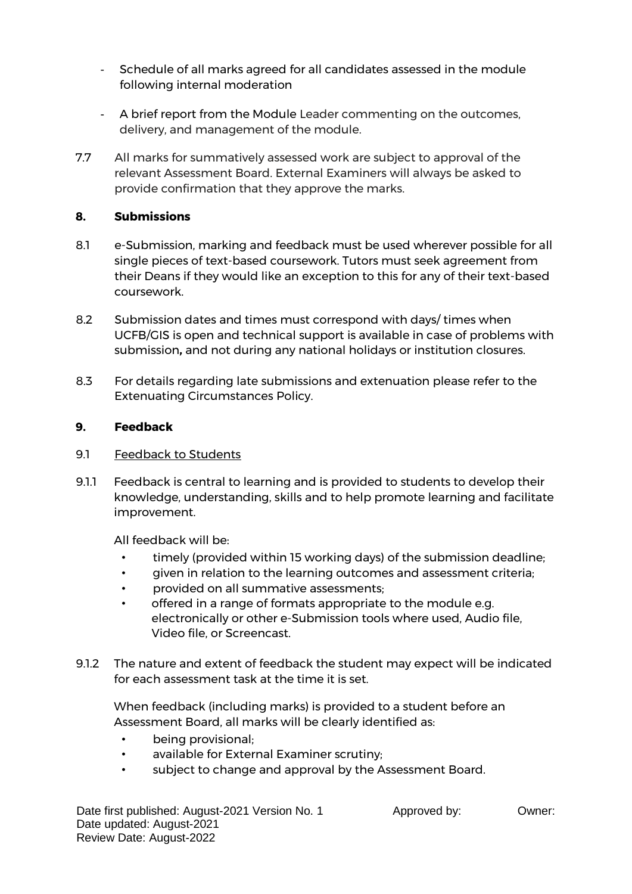- Schedule of all marks agreed for all candidates assessed in the module following internal moderation
- A brief report from the Module Leader commenting on the outcomes, delivery, and management of the module.
- 7.7 All marks for summatively assessed work are subject to approval of the relevant Assessment Board. External Examiners will always be asked to provide confirmation that they approve the marks.

## **8. Submissions**

- 8.1 e-Submission, marking and feedback must be used wherever possible for all single pieces of text-based coursework. Tutors must seek agreement from their Deans if they would like an exception to this for any of their text-based coursework.
- 8.2 Submission dates and times must correspond with days/ times when UCFB/GIS is open and technical support is available in case of problems with submission**,** and not during any national holidays or institution closures.
- 8.3 For details regarding late submissions and extenuation please refer to the Extenuating Circumstances Policy.

# **9. Feedback**

- 9.1 Feedback to Students
- 9.1.1 Feedback is central to learning and is provided to students to develop their knowledge, understanding, skills and to help promote learning and facilitate improvement.

All feedback will be:

- timely (provided within 15 working days) of the submission deadline;
- given in relation to the learning outcomes and assessment criteria;
- provided on all summative assessments;
- offered in a range of formats appropriate to the module e.g. electronically or other e-Submission tools where used, Audio file, Video file, or Screencast.
- 9.1.2 The nature and extent of feedback the student may expect will be indicated for each assessment task at the time it is set.

When feedback (including marks) is provided to a student before an Assessment Board, all marks will be clearly identified as:

- being provisional;
- available for External Examiner scrutiny;
- subject to change and approval by the Assessment Board.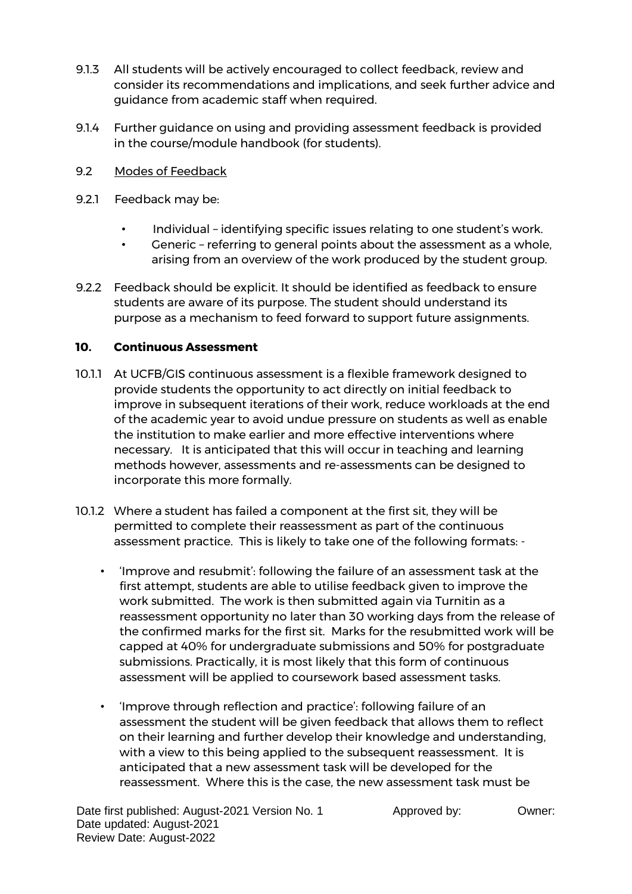- 9.1.3 All students will be actively encouraged to collect feedback, review and consider its recommendations and implications, and seek further advice and guidance from academic staff when required.
- 9.1.4 Further guidance on using and providing assessment feedback is provided in the course/module handbook (for students).
- 9.2 Modes of Feedback
- 9.2.1 Feedback may be:
	- Individual identifying specific issues relating to one student's work.
	- Generic referring to general points about the assessment as a whole, arising from an overview of the work produced by the student group.
- 9.2.2 Feedback should be explicit. It should be identified as feedback to ensure students are aware of its purpose. The student should understand its purpose as a mechanism to feed forward to support future assignments.

## **10. Continuous Assessment**

- 10.1.1 At UCFB/GIS continuous assessment is a flexible framework designed to provide students the opportunity to act directly on initial feedback to improve in subsequent iterations of their work, reduce workloads at the end of the academic year to avoid undue pressure on students as well as enable the institution to make earlier and more effective interventions where necessary. It is anticipated that this will occur in teaching and learning methods however, assessments and re-assessments can be designed to incorporate this more formally.
- 10.1.2 Where a student has failed a component at the first sit, they will be permitted to complete their reassessment as part of the continuous assessment practice. This is likely to take one of the following formats: -
	- 'Improve and resubmit': following the failure of an assessment task at the first attempt, students are able to utilise feedback given to improve the work submitted. The work is then submitted again via Turnitin as a reassessment opportunity no later than 30 working days from the release of the confirmed marks for the first sit. Marks for the resubmitted work will be capped at 40% for undergraduate submissions and 50% for postgraduate submissions. Practically, it is most likely that this form of continuous assessment will be applied to coursework based assessment tasks.
	- 'Improve through reflection and practice': following failure of an assessment the student will be given feedback that allows them to reflect on their learning and further develop their knowledge and understanding, with a view to this being applied to the subsequent reassessment. It is anticipated that a new assessment task will be developed for the reassessment. Where this is the case, the new assessment task must be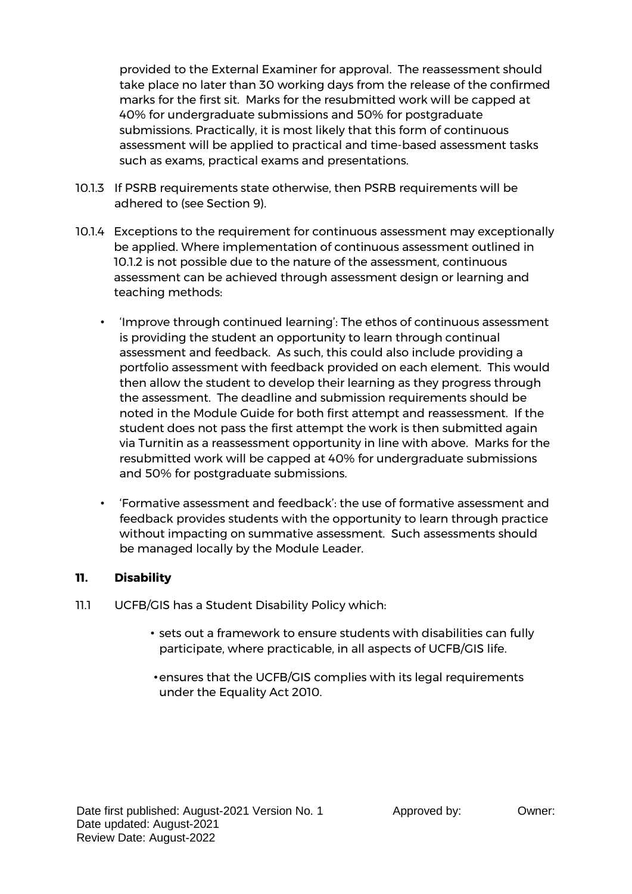provided to the External Examiner for approval. The reassessment should take place no later than 30 working days from the release of the confirmed marks for the first sit. Marks for the resubmitted work will be capped at 40% for undergraduate submissions and 50% for postgraduate submissions. Practically, it is most likely that this form of continuous assessment will be applied to practical and time-based assessment tasks such as exams, practical exams and presentations.

- 10.1.3 If PSRB requirements state otherwise, then PSRB requirements will be adhered to (see Section 9).
- 10.1.4 Exceptions to the requirement for continuous assessment may exceptionally be applied. Where implementation of continuous assessment outlined in 10.1.2 is not possible due to the nature of the assessment, continuous assessment can be achieved through assessment design or learning and teaching methods:
	- 'Improve through continued learning': The ethos of continuous assessment is providing the student an opportunity to learn through continual assessment and feedback. As such, this could also include providing a portfolio assessment with feedback provided on each element. This would then allow the student to develop their learning as they progress through the assessment. The deadline and submission requirements should be noted in the Module Guide for both first attempt and reassessment. If the student does not pass the first attempt the work is then submitted again via Turnitin as a reassessment opportunity in line with above. Marks for the resubmitted work will be capped at 40% for undergraduate submissions and 50% for postgraduate submissions.
	- 'Formative assessment and feedback': the use of formative assessment and feedback provides students with the opportunity to learn through practice without impacting on summative assessment. Such assessments should be managed locally by the Module Leader.

## **11. Disability**

- 11.1 UCFB/GIS has a Student Disability Policy which:
	- sets out a framework to ensure students with disabilities can fully participate, where practicable, in all aspects of UCFB/GIS life.
	- •ensures that the UCFB/GIS complies with its legal requirements under the Equality Act 2010.